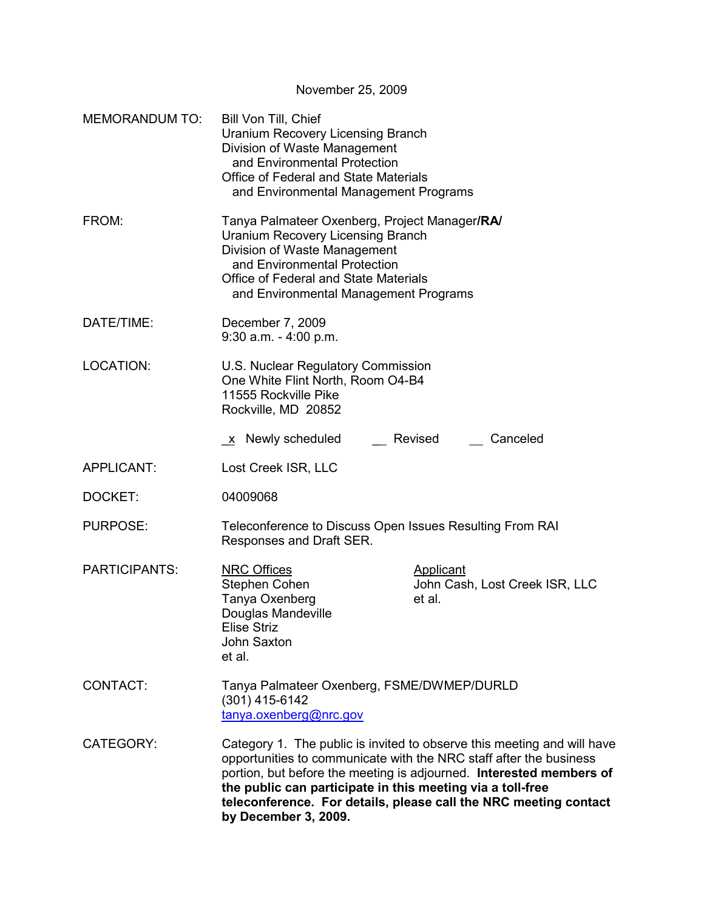November 25, 2009 MEMORANDUM TO: Bill Von Till, Chief Uranium Recovery Licensing Branch Division of Waste Management and Environmental Protection Office of Federal and State Materials and Environmental Management Programs FROM: Tanya Palmateer Oxenberg, Project Manager**/RA/**  Uranium Recovery Licensing Branch Division of Waste Management and Environmental Protection Office of Federal and State Materials and Environmental Management Programs DATE/TIME: December 7, 2009 9:30 a.m. - 4:00 p.m. LOCATION: U.S. Nuclear Regulatory Commission One White Flint North, Room O4-B4 11555 Rockville Pike Rockville, MD 20852 \_x Newly scheduled \_ Revised Canceled APPLICANT: Lost Creek ISR, LLC DOCKET: 04009068 PURPOSE: Teleconference to Discuss Open Issues Resulting From RAI Responses and Draft SER. PARTICIPANTS: NRC Offices Applicant Stephen Cohen John Cash, Lost Creek ISR, LLC Tanya Oxenberg et al. Douglas Mandeville Elise Striz John Saxton et al. CONTACT: Tanya Palmateer Oxenberg, FSME/DWMEP/DURLD (301) 415-6142 tanya.oxenberg@nrc.gov CATEGORY: Category 1. The public is invited to observe this meeting and will have opportunities to communicate with the NRC staff after the business portion, but before the meeting is adjourned. **Interested members of the public can participate in this meeting via a toll-free teleconference. For details, please call the NRC meeting contact by December 3, 2009.**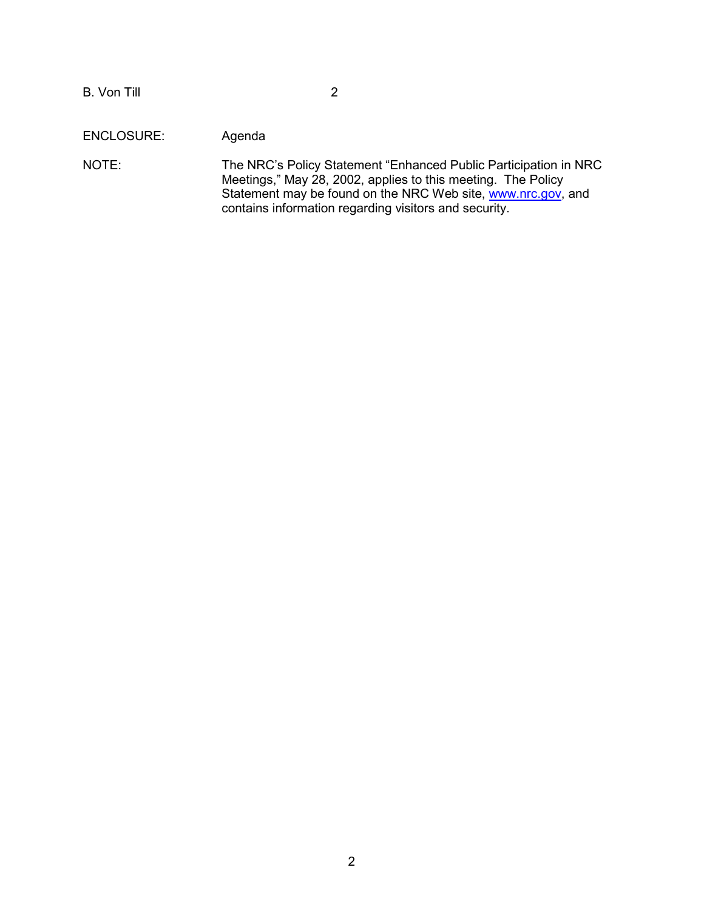B. Von Till 2

ENCLOSURE: Agenda

NOTE: The NRC's Policy Statement "Enhanced Public Participation in NRC Meetings," May 28, 2002, applies to this meeting. The Policy Statement may be found on the NRC Web site, www.nrc.gov, and contains information regarding visitors and security.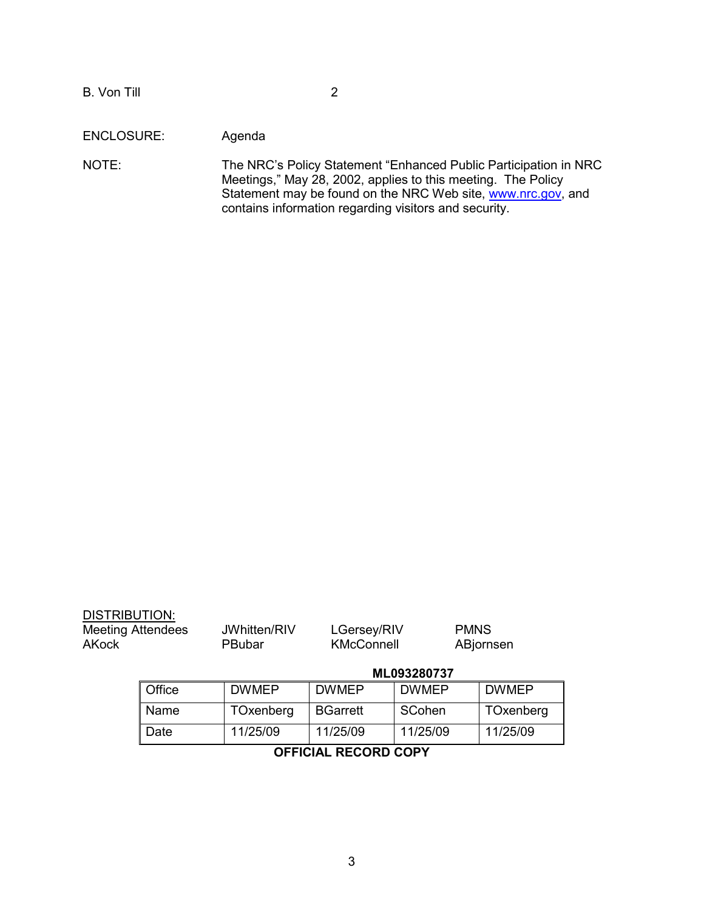## ENCLOSURE: Agenda

NOTE: The NRC's Policy Statement "Enhanced Public Participation in NRC Meetings," May 28, 2002, applies to this meeting. The Policy Statement may be found on the NRC Web site, www.nrc.gov, and contains information regarding visitors and security.

| DISTRIBUTION:<br><b>Meeting Attendees</b><br><b>AKock</b> |        | JWhitten/RIV<br><b>PBubar</b> | LGersey/RIV<br><b>KMcConnell</b> | <b>PMNS</b>  | ABjornsen    |  |
|-----------------------------------------------------------|--------|-------------------------------|----------------------------------|--------------|--------------|--|
|                                                           |        |                               | ML093280737                      |              |              |  |
|                                                           | Office | <b>DWMEP</b>                  | <b>DWMEP</b>                     | <b>DWMEP</b> | <b>DWMEP</b> |  |
|                                                           | Name   | TOxenberg                     | <b>BGarrett</b>                  | SCohen       | TOxenberg    |  |
|                                                           | Date   | 11/25/09                      | 11/25/09                         | 11/25/09     | 11/25/09     |  |

# **OFFICIAL RECORD COPY**